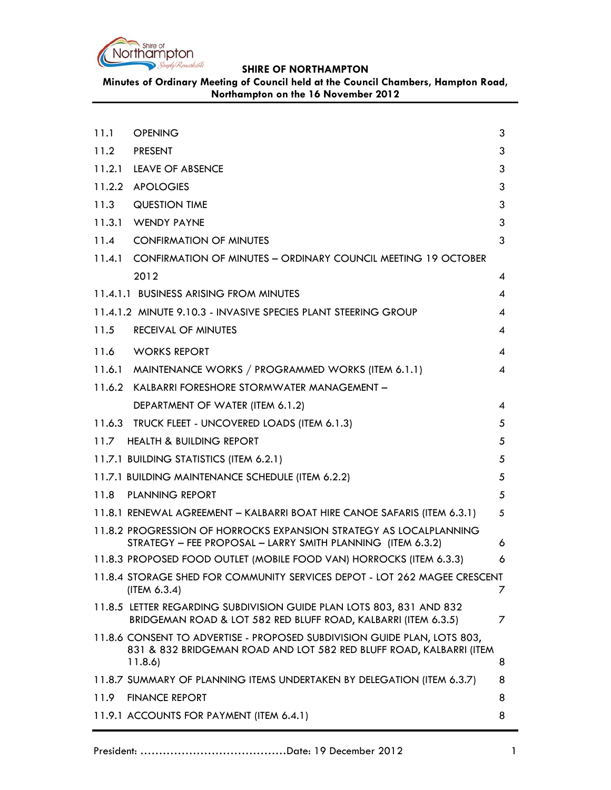

**Minutes of Ordinary Meeting of Council held at the Council Chambers, Hampton Road, Northampton on the 16 November 2012**

| 11.1 | <b>OPENING</b>                                                                                                                                             | 3 |
|------|------------------------------------------------------------------------------------------------------------------------------------------------------------|---|
|      | 11.2 PRESENT                                                                                                                                               | 3 |
|      | 11.2.1 LEAVE OF ABSENCE                                                                                                                                    | 3 |
|      | 11.2.2 APOLOGIES                                                                                                                                           | 3 |
| 11.3 | <b>QUESTION TIME</b>                                                                                                                                       | 3 |
|      | 11.3.1 WENDY PAYNE                                                                                                                                         | 3 |
| 11.4 | <b>CONFIRMATION OF MINUTES</b>                                                                                                                             | 3 |
|      | 11.4.1 CONFIRMATION OF MINUTES - ORDINARY COUNCIL MEETING 19 OCTOBER                                                                                       |   |
|      | 2012                                                                                                                                                       | 4 |
|      | 11.4.1.1 BUSINESS ARISING FROM MINUTES                                                                                                                     | 4 |
|      | 11.4.1.2 MINUTE 9.10.3 - INVASIVE SPECIES PLANT STEERING GROUP                                                                                             | 4 |
| 11.5 | <b>RECEIVAL OF MINUTES</b>                                                                                                                                 | 4 |
| 11.6 | <b>WORKS REPORT</b>                                                                                                                                        | 4 |
|      | 11.6.1 MAINTENANCE WORKS / PROGRAMMED WORKS (ITEM 6.1.1)                                                                                                   | 4 |
|      | 11.6.2 KALBARRI FORESHORE STORMWATER MANAGEMENT -                                                                                                          |   |
|      | DEPARTMENT OF WATER (ITEM 6.1.2)                                                                                                                           | 4 |
|      | 11.6.3 TRUCK FLEET - UNCOVERED LOADS (ITEM 6.1.3)                                                                                                          | 5 |
|      | 11.7 HEALTH & BUILDING REPORT                                                                                                                              | 5 |
|      | 11.7.1 BUILDING STATISTICS (ITEM 6.2.1)                                                                                                                    | 5 |
|      | 11.7.1 BUILDING MAINTENANCE SCHEDULE (ITEM 6.2.2)                                                                                                          | 5 |
|      | 11.8 PLANNING REPORT                                                                                                                                       | 5 |
|      | 11.8.1 RENEWAL AGREEMENT - KALBARRI BOAT HIRE CANOE SAFARIS (ITEM 6.3.1)                                                                                   | 5 |
|      | 11.8.2 PROGRESSION OF HORROCKS EXPANSION STRATEGY AS LOCALPLANNING<br>STRATEGY - FEE PROPOSAL - LARRY SMITH PLANNING (ITEM 6.3.2)                          | 6 |
|      | 11.8.3 PROPOSED FOOD OUTLET (MOBILE FOOD VAN) HORROCKS (ITEM 6.3.3)                                                                                        | 6 |
|      | 11.8.4 STORAGE SHED FOR COMMUNITY SERVICES DEPOT - LOT 262 MAGEE CRESCENT<br>(ITERA 6.3.4)                                                                 | 7 |
|      | 11.8.5 LETTER REGARDING SUBDIVISION GUIDE PLAN LOTS 803, 831 AND 832<br>BRIDGEMAN ROAD & LOT 582 RED BLUFF ROAD, KALBARRI (ITEM 6.3.5)                     | 7 |
|      | 11.8.6 CONSENT TO ADVERTISE - PROPOSED SUBDIVISION GUIDE PLAN, LOTS 803,<br>831 & 832 BRIDGEMAN ROAD AND LOT 582 RED BLUFF ROAD, KALBARRI (ITEM<br>11.8.6) | 8 |
|      | 11.8.7 SUMMARY OF PLANNING ITEMS UNDERTAKEN BY DELEGATION (ITEM 6.3.7)                                                                                     | 8 |
| 11.9 | <b>FINANCE REPORT</b>                                                                                                                                      | 8 |
|      | 11.9.1 ACCOUNTS FOR PAYMENT (ITEM 6.4.1)                                                                                                                   | 8 |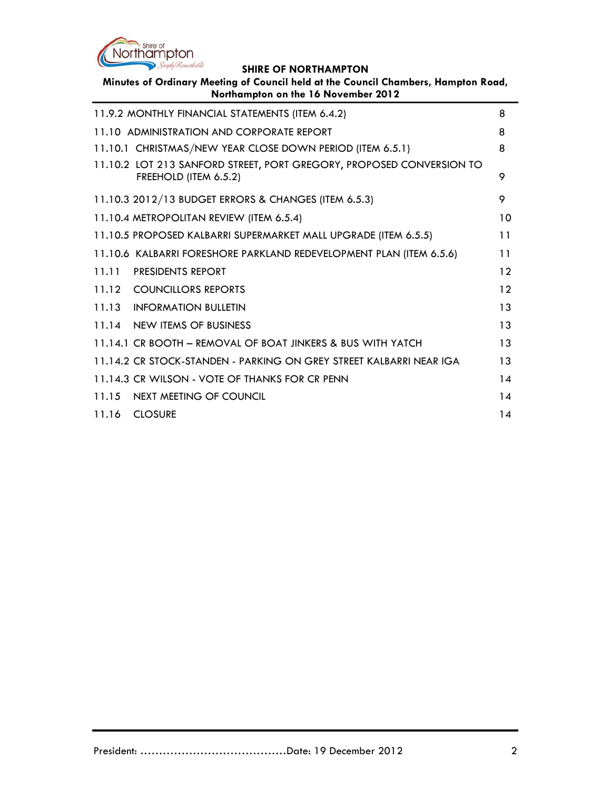

**Minutes of Ordinary Meeting of Council held at the Council Chambers, Hampton Road, Northampton on the 16 November 2012**

| 11.9.2 MONTHLY FINANCIAL STATEMENTS (ITEM 6.4.2)                                              | 8  |
|-----------------------------------------------------------------------------------------------|----|
| 11.10 ADMINISTRATION AND CORPORATE REPORT                                                     | 8  |
| 11.10.1 CHRISTMAS/NEW YEAR CLOSE DOWN PERIOD (ITEM 6.5.1)                                     | 8  |
| 11.10.2 LOT 213 SANFORD STREET, PORT GREGORY, PROPOSED CONVERSION TO<br>FREEHOLD (ITEM 6.5.2) | 9  |
| 11.10.3 2012/13 BUDGET ERRORS & CHANGES (ITEM 6.5.3)                                          | 9  |
| 11.10.4 METROPOLITAN REVIEW (ITEM 6.5.4)                                                      | 10 |
| 11.10.5 PROPOSED KALBARRI SUPERMARKET MALL UPGRADE (ITEM 6.5.5)                               | 11 |
| 11.10.6 KALBARRI FORESHORE PARKLAND REDEVELOPMENT PLAN (ITEM 6.5.6)                           | 11 |
| 11.11 PRESIDENTS REPORT                                                                       | 12 |
| 11.12 COUNCILLORS REPORTS                                                                     | 12 |
| 11.13 INFORMATION BULLETIN                                                                    | 13 |
| 11.14 NEW ITEMS OF BUSINESS                                                                   | 13 |
| 11.14.1 CR BOOTH - REMOVAL OF BOAT JINKERS & BUS WITH YATCH                                   | 13 |
| 11.14.2 CR STOCK-STANDEN - PARKING ON GREY STREET KALBARRI NEAR IGA                           | 13 |
| 11.14.3 CR WILSON - VOTE OF THANKS FOR CR PENN                                                | 14 |
| 11.15 NEXT MEETING OF COUNCIL                                                                 | 14 |
| 11.16 CLOSURE                                                                                 | 14 |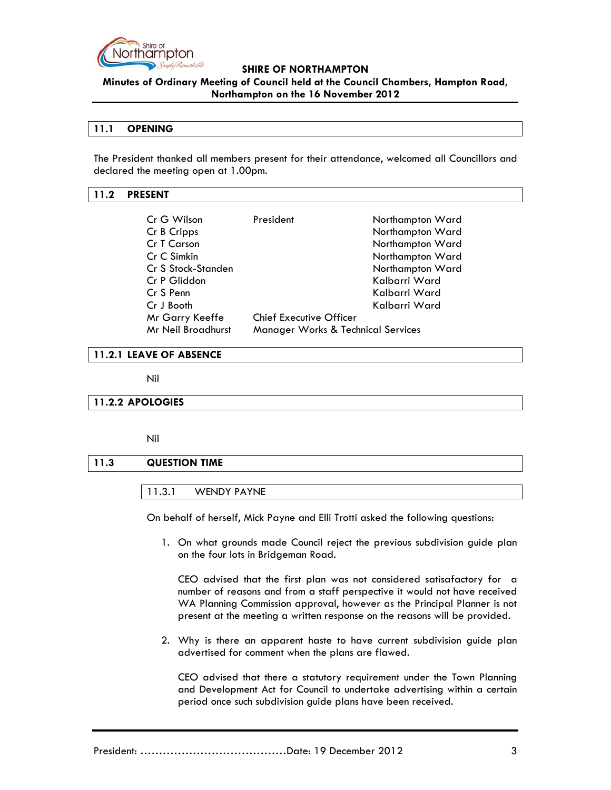

**Minutes of Ordinary Meeting of Council held at the Council Chambers, Hampton Road, Northampton on the 16 November 2012**

### **11.1 OPENING**

The President thanked all members present for their attendance, welcomed all Councillors and declared the meeting open at 1.00pm.

### **11.2 PRESENT**

| Cr G Wilson        | President                                     | Northampton Ward |
|--------------------|-----------------------------------------------|------------------|
| Cr B Cripps        |                                               | Northampton Ward |
| Cr T Carson        |                                               | Northampton Ward |
| Cr C Simkin        |                                               | Northampton Ward |
| Cr S Stock-Standen |                                               | Northampton Ward |
| Cr P Gliddon       |                                               | Kalbarri Ward    |
| Cr S Penn          |                                               | Kalbarri Ward    |
| Cr J Booth         |                                               | Kalbarri Ward    |
| Mr Garry Keeffe    | Chief Executive Officer                       |                  |
| Mr Neil Broadhurst | <b>Manager Works &amp; Technical Services</b> |                  |

### **11.2.1 LEAVE OF ABSENCE**

Nil

### **11.2.2 APOLOGIES**

Nil

### **11.3 QUESTION TIME**

### 11.3.1 WENDY PAYNE

On behalf of herself, Mick Payne and Elli Trotti asked the following questions:

1. On what grounds made Council reject the previous subdivision guide plan on the four lots in Bridgeman Road.

CEO advised that the first plan was not considered satisafactory for a number of reasons and from a staff perspective it would not have received WA Planning Commission approval, however as the Principal Planner is not present at the meeting a written response on the reasons will be provided.

2. Why is there an apparent haste to have current subdivision guide plan advertised for comment when the plans are flawed.

CEO advised that there a statutory requirement under the Town Planning and Development Act for Council to undertake advertising within a certain period once such subdivision guide plans have been received.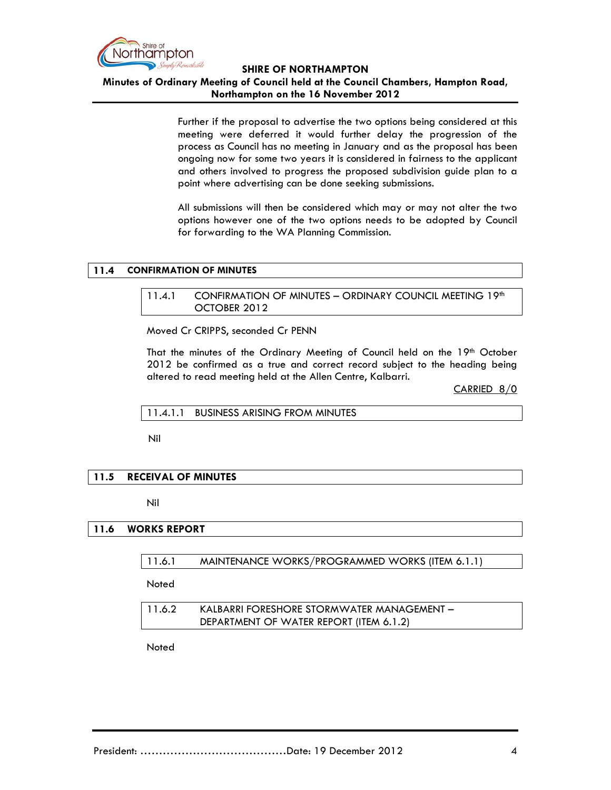

### **Minutes of Ordinary Meeting of Council held at the Council Chambers, Hampton Road, Northampton on the 16 November 2012**

Further if the proposal to advertise the two options being considered at this meeting were deferred it would further delay the progression of the process as Council has no meeting in January and as the proposal has been ongoing now for some two years it is considered in fairness to the applicant and others involved to progress the proposed subdivision guide plan to a point where advertising can be done seeking submissions.

All submissions will then be considered which may or may not alter the two options however one of the two options needs to be adopted by Council for forwarding to the WA Planning Commission.

### **11.4 CONFIRMATION OF MINUTES**

11.4.1 CONFIRMATION OF MINUTES - ORDINARY COUNCIL MEETING 19th OCTOBER 2012

Moved Cr CRIPPS, seconded Cr PENN

That the minutes of the Ordinary Meeting of Council held on the 19<sup>th</sup> October 2012 be confirmed as a true and correct record subject to the heading being altered to read meeting held at the Allen Centre, Kalbarri.

CARRIED 8/0

11.4.1.1 BUSINESS ARISING FROM MINUTES

Nil

### **11.5 RECEIVAL OF MINUTES**

Nil

### **11.6 WORKS REPORT**

11.6.1 MAINTENANCE WORKS/PROGRAMMED WORKS (ITEM 6.1.1)

**Noted** 

| 11.6.2 | KALBARRI FORESHORE STORMWATER MANAGEMENT - |
|--------|--------------------------------------------|
|        | DEPARTMENT OF WATER REPORT (ITEM 6.1.2)    |

**Noted**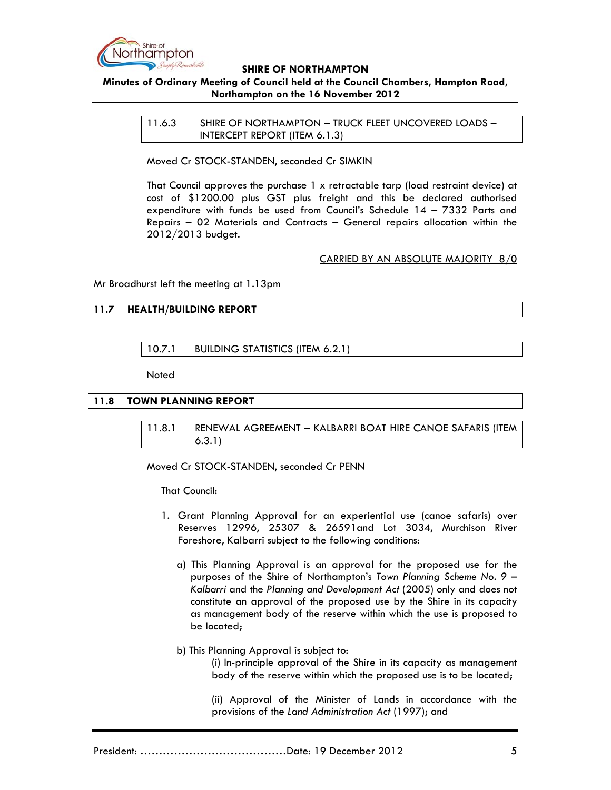

# **Minutes of Ordinary Meeting of Council held at the Council Chambers, Hampton Road, Northampton on the 16 November 2012**

11.6.3 SHIRE OF NORTHAMPTON – TRUCK FLEET UNCOVERED LOADS – INTERCEPT REPORT (ITEM 6.1.3)

Moved Cr STOCK-STANDEN, seconded Cr SIMKIN

That Council approves the purchase 1 x retractable tarp (load restraint device) at cost of \$1200.00 plus GST plus freight and this be declared authorised expenditure with funds be used from Council's Schedule 14 – 7332 Parts and Repairs – 02 Materials and Contracts – General repairs allocation within the 2012/2013 budget.

#### CARRIED BY AN ABSOLUTE MAJORITY 8/0

Mr Broadhurst left the meeting at 1.13pm

### **11.7 HEALTH/BUILDING REPORT**

10.7.1 BUILDING STATISTICS (ITEM 6.2.1)

**Noted** 

### **11.8 TOWN PLANNING REPORT**

11.8.1 RENEWAL AGREEMENT – KALBARRI BOAT HIRE CANOE SAFARIS (ITEM 6.3.1)

Moved Cr STOCK-STANDEN, seconded Cr PENN

That Council:

- 1. Grant Planning Approval for an experiential use (canoe safaris) over Reserves 12996, 25307 & 26591and Lot 3034, Murchison River Foreshore, Kalbarri subject to the following conditions:
	- a) This Planning Approval is an approval for the proposed use for the purposes of the Shire of Northampton's *Town Planning Scheme No. 9 – Kalbarri* and the *Planning and Development Act* (2005) only and does not constitute an approval of the proposed use by the Shire in its capacity as management body of the reserve within which the use is proposed to be located;
	- b) This Planning Approval is subject to:

 (i) In-principle approval of the Shire in its capacity as management body of the reserve within which the proposed use is to be located;

(ii) Approval of the Minister of Lands in accordance with the provisions of the *Land Administration Act* (1997); and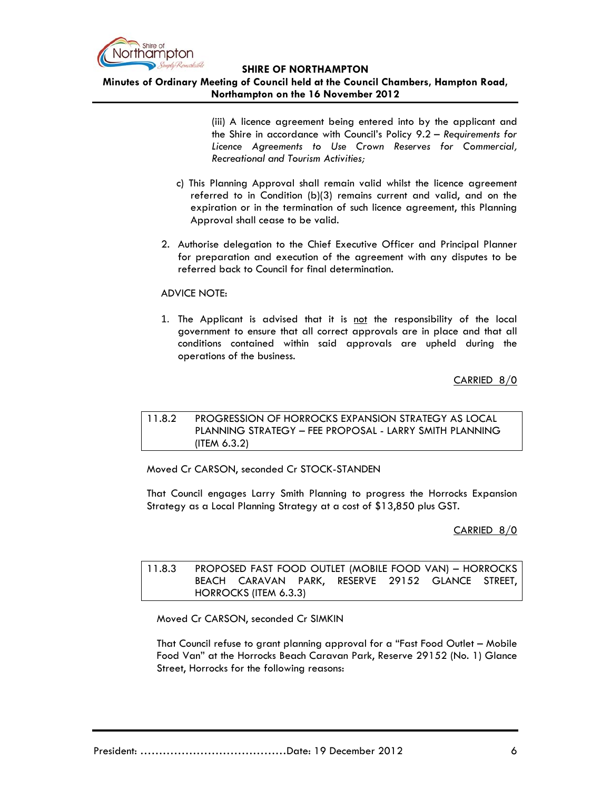

**Minutes of Ordinary Meeting of Council held at the Council Chambers, Hampton Road, Northampton on the 16 November 2012**

> (iii) A licence agreement being entered into by the applicant and the Shire in accordance with Council's Policy 9.2 – *Requirements for Licence Agreements to Use Crown Reserves for Commercial, Recreational and Tourism Activities;*

- c) This Planning Approval shall remain valid whilst the licence agreement referred to in Condition (b)(3) remains current and valid, and on the expiration or in the termination of such licence agreement, this Planning Approval shall cease to be valid.
- 2. Authorise delegation to the Chief Executive Officer and Principal Planner for preparation and execution of the agreement with any disputes to be referred back to Council for final determination.

### ADVICE NOTE:

1. The Applicant is advised that it is not the responsibility of the local government to ensure that all correct approvals are in place and that all conditions contained within said approvals are upheld during the operations of the business.

CARRIED 8/0

# 11.8.2 PROGRESSION OF HORROCKS EXPANSION STRATEGY AS LOCAL PLANNING STRATEGY – FEE PROPOSAL - LARRY SMITH PLANNING (ITEM 6.3.2)

Moved Cr CARSON, seconded Cr STOCK-STANDEN

That Council engages Larry Smith Planning to progress the Horrocks Expansion Strategy as a Local Planning Strategy at a cost of \$13,850 plus GST.

### CARRIED 8/0

11.8.3 PROPOSED FAST FOOD OUTLET (MOBILE FOOD VAN) – HORROCKS BEACH CARAVAN PARK, RESERVE 29152 GLANCE STREET, HORROCKS (ITEM 6.3.3)

Moved Cr CARSON, seconded Cr SIMKIN

That Council refuse to grant planning approval for a "Fast Food Outlet – Mobile Food Van" at the Horrocks Beach Caravan Park, Reserve 29152 (No. 1) Glance Street, Horrocks for the following reasons: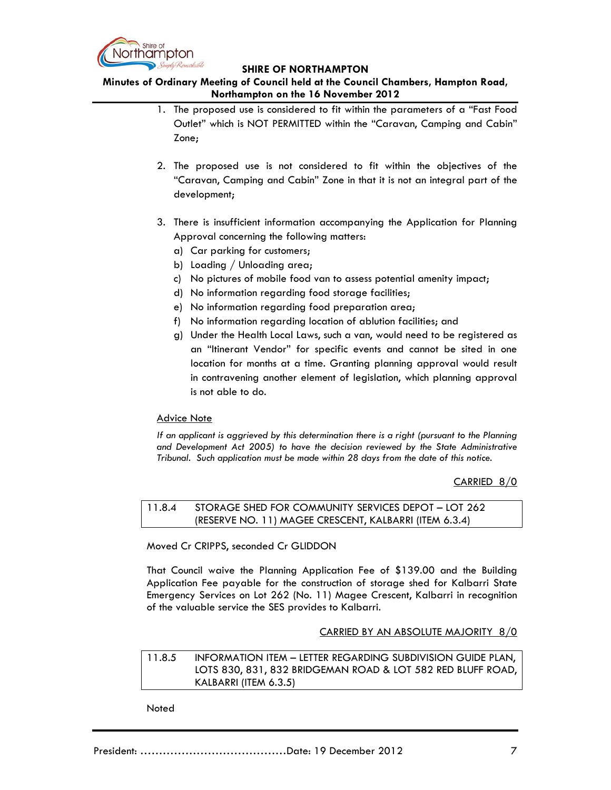

**Minutes of Ordinary Meeting of Council held at the Council Chambers, Hampton Road, Northampton on the 16 November 2012**

- 1. The proposed use is considered to fit within the parameters of a "Fast Food Outlet" which is NOT PERMITTED within the "Caravan, Camping and Cabin" Zone;
- 2. The proposed use is not considered to fit within the objectives of the "Caravan, Camping and Cabin" Zone in that it is not an integral part of the development;
- 3. There is insufficient information accompanying the Application for Planning Approval concerning the following matters:
	- a) Car parking for customers;
	- b) Loading / Unloading area;
	- c) No pictures of mobile food van to assess potential amenity impact;
	- d) No information regarding food storage facilities;
	- e) No information regarding food preparation area;
	- f) No information regarding location of ablution facilities; and
	- g) Under the Health Local Laws, such a van, would need to be registered as an "Itinerant Vendor" for specific events and cannot be sited in one location for months at a time. Granting planning approval would result in contravening another element of legislation, which planning approval is not able to do.

### Advice Note

*If an applicant is aggrieved by this determination there is a right (pursuant to the Planning and Development Act 2005) to have the decision reviewed by the State Administrative Tribunal. Such application must be made within 28 days from the date of this notice.*

### CARRIED 8/0

11.8.4 STORAGE SHED FOR COMMUNITY SERVICES DEPOT – LOT 262 (RESERVE NO. 11) MAGEE CRESCENT, KALBARRI (ITEM 6.3.4)

Moved Cr CRIPPS, seconded Cr GLIDDON

That Council waive the Planning Application Fee of \$139.00 and the Building Application Fee payable for the construction of storage shed for Kalbarri State Emergency Services on Lot 262 (No. 11) Magee Crescent, Kalbarri in recognition of the valuable service the SES provides to Kalbarri.

### CARRIED BY AN ABSOLUTE MAJORITY 8/0

11.8.5 INFORMATION ITEM – LETTER REGARDING SUBDIVISION GUIDE PLAN, LOTS 830, 831, 832 BRIDGEMAN ROAD & LOT 582 RED BLUFF ROAD, KALBARRI (ITEM 6.3.5)

**Noted**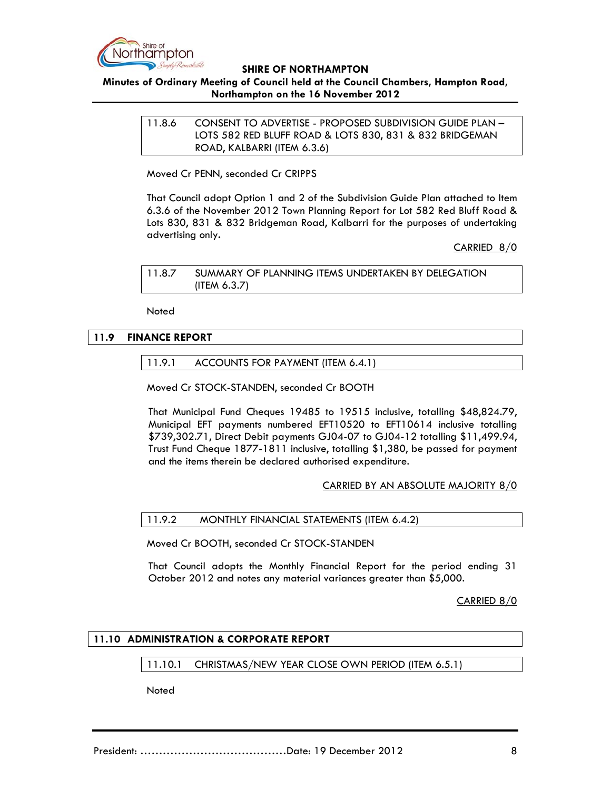

# **Minutes of Ordinary Meeting of Council held at the Council Chambers, Hampton Road, Northampton on the 16 November 2012**

11.8.6 CONSENT TO ADVERTISE - PROPOSED SUBDIVISION GUIDE PLAN – LOTS 582 RED BLUFF ROAD & LOTS 830, 831 & 832 BRIDGEMAN ROAD, KALBARRI (ITEM 6.3.6)

Moved Cr PENN, seconded Cr CRIPPS

That Council adopt Option 1 and 2 of the Subdivision Guide Plan attached to Item 6.3.6 of the November 2012 Town Planning Report for Lot 582 Red Bluff Road & Lots 830, 831 & 832 Bridgeman Road, Kalbarri for the purposes of undertaking advertising only**.**

### CARRIED 8/0

11.8.7 SUMMARY OF PLANNING ITEMS UNDERTAKEN BY DELEGATION (ITEM 6.3.7)

**Noted** 

### **11.9 FINANCE REPORT**

### 11.9.1 ACCOUNTS FOR PAYMENT (ITEM 6.4.1)

Moved Cr STOCK-STANDEN, seconded Cr BOOTH

That Municipal Fund Cheques 19485 to 19515 inclusive, totalling \$48,824.79, Municipal EFT payments numbered EFT10520 to EFT10614 inclusive totalling \$739,302.71, Direct Debit payments GJ04-07 to GJ04-12 totalling \$11,499.94, Trust Fund Cheque 1877-1811 inclusive, totalling \$1,380, be passed for payment and the items therein be declared authorised expenditure.

### CARRIED BY AN ABSOLUTE MAJORITY 8/0

### 11.9.2 MONTHLY FINANCIAL STATEMENTS (ITEM 6.4.2)

Moved Cr BOOTH, seconded Cr STOCK-STANDEN

That Council adopts the Monthly Financial Report for the period ending 31 October 2012 and notes any material variances greater than \$5,000.

CARRIED 8/0

### **11.10 ADMINISTRATION & CORPORATE REPORT**

### 11.10.1 CHRISTMAS/NEW YEAR CLOSE OWN PERIOD (ITEM 6.5.1)

Noted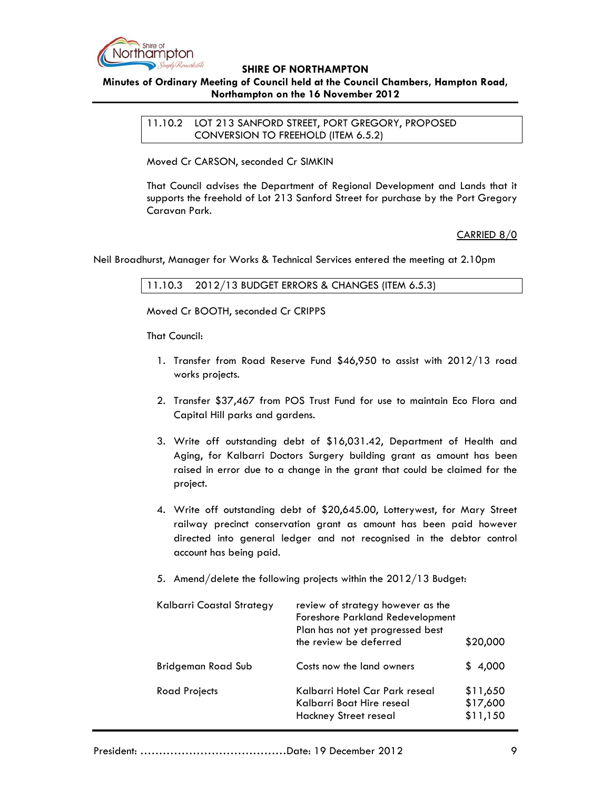

# **Minutes of Ordinary Meeting of Council held at the Council Chambers, Hampton Road, Northampton on the 16 November 2012**

11.10.2 LOT 213 SANFORD STREET, PORT GREGORY, PROPOSED CONVERSION TO FREEHOLD (ITEM 6.5.2)

Moved Cr CARSON, seconded Cr SIMKIN

That Council advises the Department of Regional Development and Lands that it supports the freehold of Lot 213 Sanford Street for purchase by the Port Gregory Caravan Park.

CARRIED 8/0

Neil Broadhurst, Manager for Works & Technical Services entered the meeting at 2.10pm

### 11.10.3 2012/13 BUDGET ERRORS & CHANGES (ITEM 6.5.3)

Moved Cr BOOTH, seconded Cr CRIPPS

That Council:

- 1. Transfer from Road Reserve Fund \$46,950 to assist with 2012/13 road works projects.
- 2. Transfer \$37,467 from POS Trust Fund for use to maintain Eco Flora and Capital Hill parks and gardens.
- 3. Write off outstanding debt of \$16,031.42, Department of Health and Aging, for Kalbarri Doctors Surgery building grant as amount has been raised in error due to a change in the grant that could be claimed for the project.
- 4. Write off outstanding debt of \$20,645.00, Lotterywest, for Mary Street railway precinct conservation grant as amount has been paid however directed into general ledger and not recognised in the debtor control account has being paid.
- 5. Amend/delete the following projects within the 2012/13 Budget:

| Kalbarri Coastal Strategy | review of strategy however as the<br><b>Foreshore Parkland Redevelopment</b><br>Plan has not yet progressed best<br>the review be deferred | \$20,000                         |
|---------------------------|--------------------------------------------------------------------------------------------------------------------------------------------|----------------------------------|
| <b>Bridgeman Road Sub</b> | Costs now the land owners                                                                                                                  | \$4,000                          |
| Road Projects             | Kalbarri Hotel Car Park reseal<br>Kalbarri Boat Hire reseal<br><b>Hackney Street reseal</b>                                                | \$11,650<br>\$17,600<br>\$11,150 |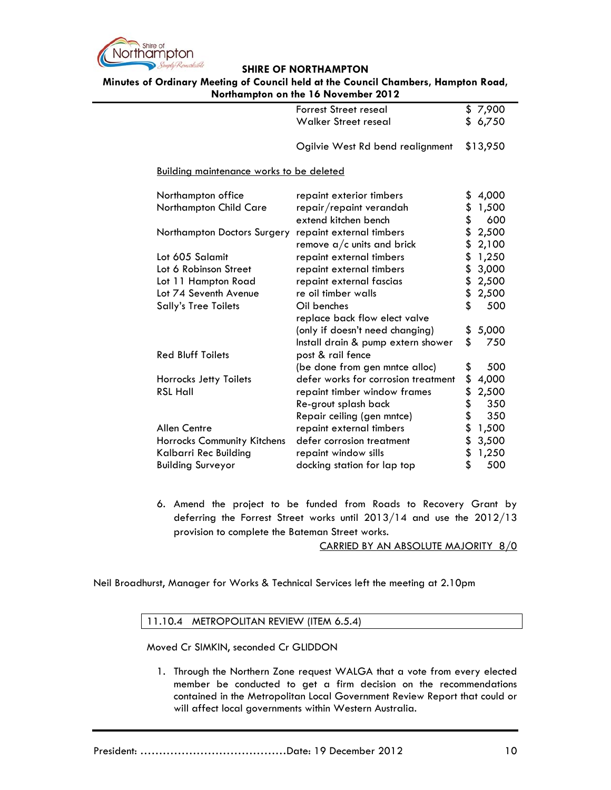

**Minutes of Ordinary Meeting of Council held at the Council Chambers, Hampton Road, Northampton on the 16 November 2012**

|                                                 | <b>Forrest Street reseal</b>        | \$7,900     |
|-------------------------------------------------|-------------------------------------|-------------|
|                                                 | <b>Walker Street reseal</b>         | \$<br>6,750 |
|                                                 |                                     |             |
|                                                 | Ogilvie West Rd bend realignment    | \$13,950    |
| <b>Building maintenance works to be deleted</b> |                                     |             |
| Northampton office                              | repaint exterior timbers            | \$<br>4,000 |
| Northampton Child Care                          | repair/repaint verandah             | \$<br>1,500 |
|                                                 | extend kitchen bench                | \$<br>600   |
| Northampton Doctors Surgery                     | repaint external timbers            | \$<br>2,500 |
|                                                 | remove $a/c$ units and brick        | \$<br>2,100 |
| Lot 605 Salamit                                 | repaint external timbers            | \$<br>1,250 |
| Lot 6 Robinson Street                           | repaint external timbers            | \$<br>3,000 |
| Lot 11 Hampton Road                             | repaint external fascias            | \$<br>2,500 |
| Lot 74 Seventh Avenue                           | re oil timber walls                 | \$<br>2,500 |
| <b>Sally's Tree Toilets</b>                     | Oil benches                         | \$<br>500   |
|                                                 | replace back flow elect valve       |             |
|                                                 | (only if doesn't need changing)     | \$<br>5,000 |
|                                                 | Install drain & pump extern shower  | \$<br>750   |
| <b>Red Bluff Toilets</b>                        | post & rail fence                   |             |
|                                                 | (be done from gen mntce alloc)      | \$<br>500   |
| Horrocks Jetty Toilets                          | defer works for corrosion treatment | \$<br>4,000 |
| <b>RSL Hall</b>                                 | repaint timber window frames        | \$<br>2,500 |
|                                                 | Re-grout splash back                | \$<br>350   |
|                                                 | Repair ceiling (gen mntce)          | \$<br>350   |
| <b>Allen Centre</b>                             | repaint external timbers            | \$<br>1,500 |
| Horrocks Community Kitchens                     | defer corrosion treatment           | \$<br>3,500 |
| Kalbarri Rec Building                           | repaint window sills                | \$<br>1,250 |
| <b>Building Surveyor</b>                        | docking station for lap top         | \$<br>500   |
|                                                 |                                     |             |

6. Amend the project to be funded from Roads to Recovery Grant by deferring the Forrest Street works until 2013/14 and use the 2012/13 provision to complete the Bateman Street works.

CARRIED BY AN ABSOLUTE MAJORITY 8/0

Neil Broadhurst, Manager for Works & Technical Services left the meeting at 2.10pm

### 11.10.4 METROPOLITAN REVIEW (ITEM 6.5.4)

Moved Cr SIMKIN, seconded Cr GLIDDON

1. Through the Northern Zone request WALGA that a vote from every elected member be conducted to get a firm decision on the recommendations contained in the Metropolitan Local Government Review Report that could or will affect local governments within Western Australia.

President: …………………………………Date: 19 December 2012 10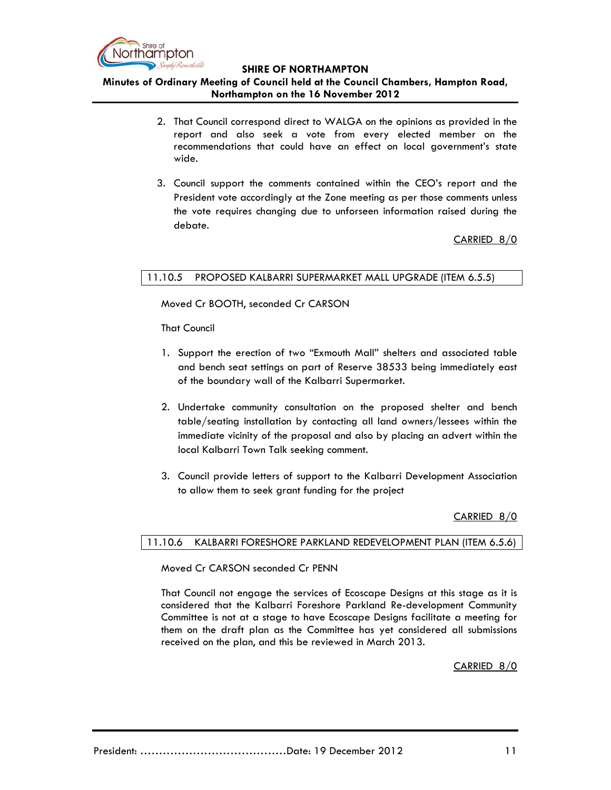

**Minutes of Ordinary Meeting of Council held at the Council Chambers, Hampton Road, Northampton on the 16 November 2012**

- 2. That Council correspond direct to WALGA on the opinions as provided in the report and also seek a vote from every elected member on the recommendations that could have an effect on local government's state wide.
- 3. Council support the comments contained within the CEO's report and the President vote accordingly at the Zone meeting as per those comments unless the vote requires changing due to unforseen information raised during the debate.

CARRIED 8/0

### 11.10.5 PROPOSED KALBARRI SUPERMARKET MALL UPGRADE (ITEM 6.5.5)

Moved Cr BOOTH, seconded Cr CARSON

That Council

- 1. Support the erection of two "Exmouth Mall" shelters and associated table and bench seat settings on part of Reserve 38533 being immediately east of the boundary wall of the Kalbarri Supermarket.
- 2. Undertake community consultation on the proposed shelter and bench table/seating installation by contacting all land owners/lessees within the immediate vicinity of the proposal and also by placing an advert within the local Kalbarri Town Talk seeking comment.
- 3. Council provide letters of support to the Kalbarri Development Association to allow them to seek grant funding for the project

CARRIED 8/0

### 11.10.6 KALBARRI FORESHORE PARKLAND REDEVELOPMENT PLAN (ITEM 6.5.6)

Moved Cr CARSON seconded Cr PENN

 That Council not engage the services of Ecoscape Designs at this stage as it is considered that the Kalbarri Foreshore Parkland Re-development Community Committee is not at a stage to have Ecoscape Designs facilitate a meeting for them on the draft plan as the Committee has yet considered all submissions received on the plan, and this be reviewed in March 2013.

CARRIED 8/0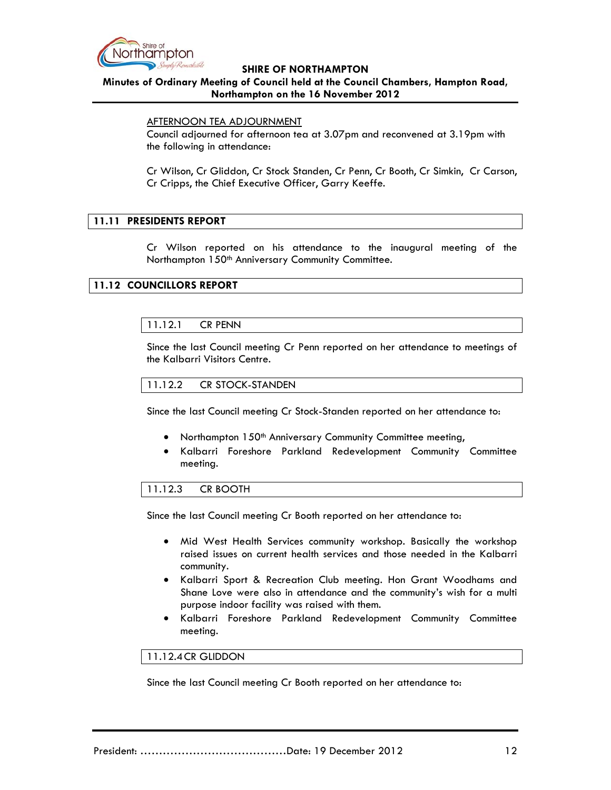

### **Minutes of Ordinary Meeting of Council held at the Council Chambers, Hampton Road, Northampton on the 16 November 2012**

#### AFTERNOON TEA ADJOURNMENT

Council adjourned for afternoon tea at 3.07pm and reconvened at 3.19pm with the following in attendance:

Cr Wilson, Cr Gliddon, Cr Stock Standen, Cr Penn, Cr Booth, Cr Simkin, Cr Carson, Cr Cripps, the Chief Executive Officer, Garry Keeffe.

### **11.11 PRESIDENTS REPORT**

Cr Wilson reported on his attendance to the inaugural meeting of the Northampton 150<sup>th</sup> Anniversary Community Committee.

### **11.12 COUNCILLORS REPORT**

### 11.12.1 CR PENN

Since the last Council meeting Cr Penn reported on her attendance to meetings of the Kalbarri Visitors Centre.

### 11.12.2 CR STOCK-STANDEN

Since the last Council meeting Cr Stock-Standen reported on her attendance to:

- Northampton 150<sup>th</sup> Anniversary Community Committee meeting,
- Kalbarri Foreshore Parkland Redevelopment Community Committee meeting.

### 11.12.3 CR BOOTH

Since the last Council meeting Cr Booth reported on her attendance to:

- Mid West Health Services community workshop. Basically the workshop raised issues on current health services and those needed in the Kalbarri community.
- Kalbarri Sport & Recreation Club meeting. Hon Grant Woodhams and Shane Love were also in attendance and the community's wish for a multi purpose indoor facility was raised with them.
- Kalbarri Foreshore Parkland Redevelopment Community Committee meeting.

#### 11.12.4CR GLIDDON

Since the last Council meeting Cr Booth reported on her attendance to: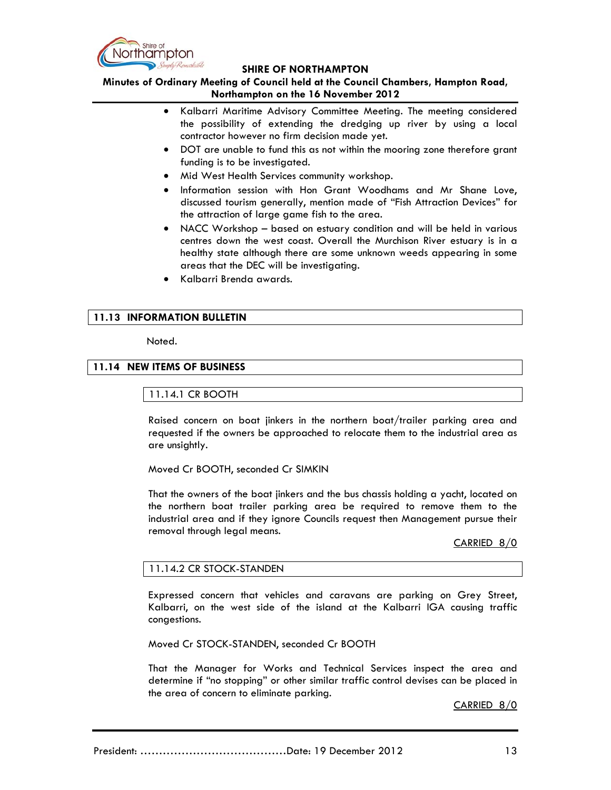

**Minutes of Ordinary Meeting of Council held at the Council Chambers, Hampton Road, Northampton on the 16 November 2012**

- Kalbarri Maritime Advisory Committee Meeting. The meeting considered the possibility of extending the dredging up river by using a local contractor however no firm decision made yet.
- DOT are unable to fund this as not within the mooring zone therefore grant funding is to be investigated.
- Mid West Health Services community workshop.
- Information session with Hon Grant Woodhams and Mr Shane Love, discussed tourism generally, mention made of "Fish Attraction Devices" for the attraction of large game fish to the area.
- NACC Workshop based on estuary condition and will be held in various centres down the west coast. Overall the Murchison River estuary is in a healthy state although there are some unknown weeds appearing in some areas that the DEC will be investigating.
- Kalbarri Brenda awards.

### **11.13 INFORMATION BULLETIN**

#### Noted.

### **11.14 NEW ITEMS OF BUSINESS**

### 11.14.1 CR BOOTH

Raised concern on boat jinkers in the northern boat/trailer parking area and requested if the owners be approached to relocate them to the industrial area as are unsightly.

Moved Cr BOOTH, seconded Cr SIMKIN

That the owners of the boat jinkers and the bus chassis holding a yacht, located on the northern boat trailer parking area be required to remove them to the industrial area and if they ignore Councils request then Management pursue their removal through legal means.

CARRIED 8/0

### 11.14.2 CR STOCK-STANDEN

Expressed concern that vehicles and caravans are parking on Grey Street, Kalbarri, on the west side of the island at the Kalbarri IGA causing traffic congestions.

Moved Cr STOCK-STANDEN, seconded Cr BOOTH

That the Manager for Works and Technical Services inspect the area and determine if "no stopping" or other similar traffic control devises can be placed in the area of concern to eliminate parking.

CARRIED 8/0